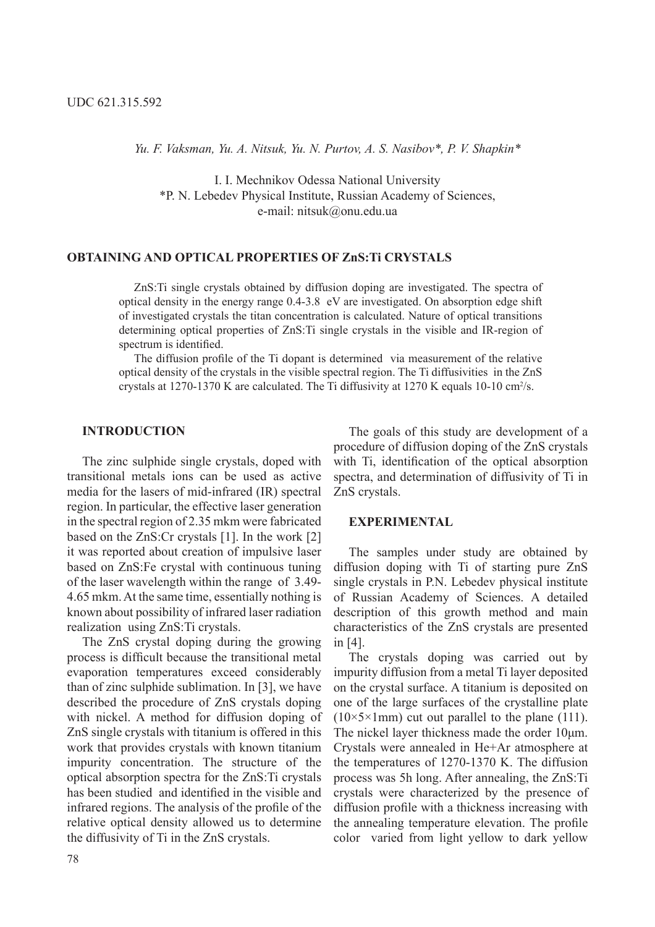*Yu. F. Vaksman, Yu. A. Nitsuk, Yu. N. Purtov, A. S. Nasibov\*, P. V. Shapkin\** 

I. I. Mechnikov Odessa National University \*P. N. Lebedev Physical Institute, Russian Academy of Sciences, e-mail: nitsuk@onu.edu.ua

#### **OBTAINING AND OPTICAL PROPERTIES OF ZnS:Ti CRYSTALS**

ZnS:Ti single crystals obtained by diffusion doping are investigated. The spectra of optical density in the energy range 0.4-3.8 eV are investigated. On absorption edge shift of investigated crystals the titan concentration is calculated. Nature of optical transitions determining optical properties of ZnS:Ti single crystals in the visible and IR-region of spectrum is identified.

The diffusion profile of the Ti dopant is determined via measurement of the relative optical density of the crystals in the visible spectral region. The Ti diffusivities in the ZnS crystals at 1270-1370 K are calculated. The Ti diffusivity at 1270 K equals 10-10 cm<sup>2</sup>/s.

### **INTRODUCTION**

The zinc sulphide single crystals, doped with transitional metals ions can be used as active media for the lasers of mid-infrared (IR) spectral region. In particular, the effective laser generation in the spectral region of 2.35 mkm were fabricated based on the ZnS:Cr crystals [1]. In the work [2] it was reported about creation of impulsive laser based on ZnS:Fe crystal with continuous tuning of the laser wavelength within the range of 3.49- 4.65 mkm. At the same time, essentially nothing is known about possibility of infrared laser radiation realization using ZnS:Ti crystals.

The ZnS crystal doping during the growing process is difficult because the transitional metal evaporation temperatures exceed considerably than of zinc sulphide sublimation. In [3], we have described the procedure of ZnS crystals doping with nickel. A method for diffusion doping of ZnS single crystals with titanium is offered in this work that provides crystals with known titanium impurity concentration. The structure of the optical absorption spectra for the ZnS:Ti crystals has been studied and identified in the visible and infrared regions. The analysis of the profile of the relative optical density allowed us to determine the diffusivity of Ti in the ZnS crystals.

The goals of this study are development of a procedure of diffusion doping of the ZnS crystals with Ti, identification of the optical absorption spectra, and determination of diffusivity of Ti in ZnS crystals.

### **EXPERIMENTAL**

The samples under study are obtained by diffusion doping with Ti of starting pure ZnS single crystals in P.N. Lebedev physical institute of Russian Academy of Sciences. A detailed description of this growth method and main characteristics of the ZnS crystals are presented in [4].

The crystals doping was carried out by impurity diffusion from a metal Ti layer deposited on the crystal surface. A titanium is deposited on one of the large surfaces of the crystalline plate  $(10\times5\times1$ mm) cut out parallel to the plane (111). The nickel layer thickness made the order  $10\mu$ m. Crystals were annealed in He+Ar atmosphere at the temperatures of 1270-1370 K. The diffusion process was 5h long. After annealing, the ZnS:Ti crystals were characterized by the presence of diffusion profile with a thickness increasing with the annealing temperature elevation. The profile color varied from light yellow to dark yellow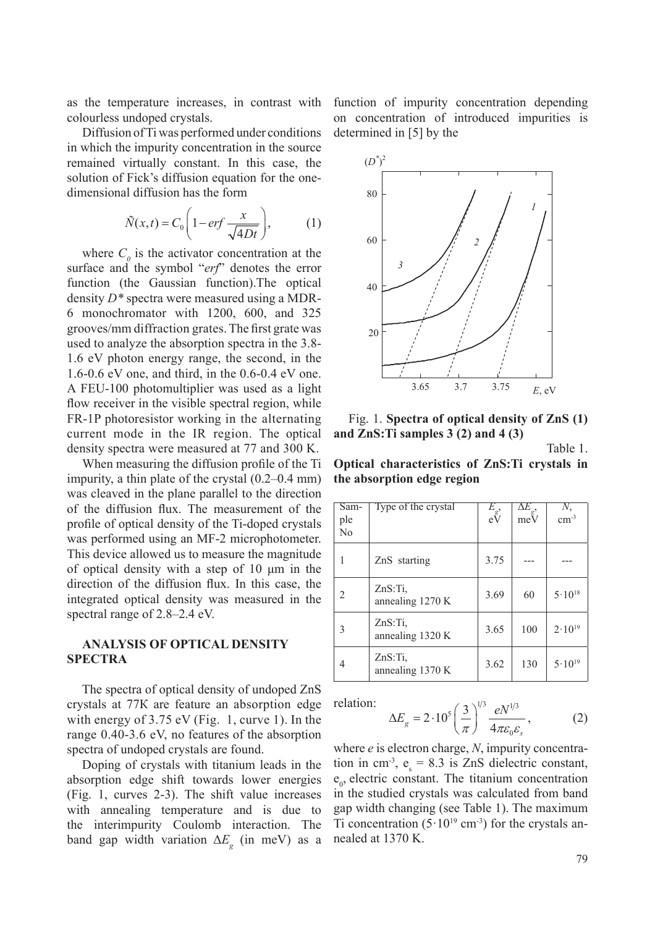as the temperature increases, in contrast with colourless undoped crystals.

Diffusion of Ti was performed under conditions in which the impurity concentration in the source remained virtually constant. In this case, the remained virtually constant. In this case, the solution of Fick's diffusion equation for the onedimensional diffusion has the form  $\mathcal{L}$ 

$$
\tilde{N}(x,t) = C_0 \left( 1 - erf \frac{x}{\sqrt{4Dt}} \right), \tag{1}
$$

where  $C_0$  is the activator concentration at the surface and the symbol "*erf*" denotes the error function (the Gaussian function). The optical density  $D^*$  spectra were measured using a MDR- $6$  monochromator with 1200,  $600$ , and 325 grooves/mm diffraction grates. The first grate was used to analyze the absorption spectra in the 3.8-1.6 eV photon energy range, the second, in the 1.6-0.6 eV one, and third, in the  $0.6$ - $0.4$  eV one. A FEU-100 photomultiplier was used as a light flow receiver in the visible spectral region, while FR-1P photoresistor working in the alternating current mode in the IR region. The optical density spectra were measured at 77 and 300 K.  $\frac{1}{2}$  to a spectral spectral spectral spectral spectral spectral spectral spectral spectral spectral spectral spectral spectral spectral spectral spectral spectral spectral spectral spectral spectral spectral spectral  $J<sub>2</sub>$ id third, in the  $0.6$ - $0.4$  eV one.

When measuring the diffusion profile of the Ti impurity, a thin plate of the crystal (0.2–0.4 mm) was cleaved in the plane parallel to the direction of the diffusion flux. The measurement of the profile of optical density of the Ti-doped crystals was performed using an MF-2 microphotometer. This device allowed us to measure the magnitude of optical density with a step of  $10 \mu m$  in the direction of the diffusion flux. In this case, the integrated optical density was measured in the spectral range of 2.8–2.4 eV.

## **ANALYSIS OF OPTICAL DENSITY SPECTRA**

The spectra of optical density of undoped ZnS crystals at 77K are feature an absorption edge with energy of  $3.75 \text{ eV}$  (Fig. 1, curve 1). In the with energy of  $5.75$  eV (Fig. 1, curve 1). In the range 0.40-3.6 eV, no features of the absorption spectra of undoped crystals are found.

Doping of crystals with titanium leads in the absorption edge shift towards lower energies (Fig. 1, curves 2-3). The shift value increases with annealing temperature and is due to the interimpurity Coulomb interaction. The band gap width variation  $\Delta E_g$  (in meV) as a function of impurity concentration depending on concentration of introduced impurities is determined in [5] by the



Fig. 1. **Spectra of optical density of ZnS (1)** and ZnS: Ti samples 3 (2) and 4 (3)  $\overline{d}$ 

Table 1.

**Optical characteristics of ZnS:Ti crystals in the absorption edge region**

| Sam-<br>ple<br>No | Type of the crystal            | $E_{g'}$<br>eV | $\Delta\!E_{\textrm{g}},$<br>meV | $\text{cm}^{\text{-3}}$ |
|-------------------|--------------------------------|----------------|----------------------------------|-------------------------|
|                   | ZnS starting                   | 3.75           |                                  |                         |
| 2                 | ZnS:Ti,<br>annealing 1270 K    | 3.69           | 60                               | $5.10^{18}$             |
| 3                 | $ZnS$ :Ti.<br>annealing 1320 K | 3.65           | 100                              | $2.10^{19}$             |
| 4                 | $ZnS$ :Ti.<br>annealing 1370 K | 3.62           | 130                              | $5\cdot10^{19}$         |

relation:

$$
\Delta E_g = 2 \cdot 10^5 \left(\frac{3}{\pi}\right)^{1/3} \frac{eN^{1/3}}{4\pi \varepsilon_0 \varepsilon_s},\tag{2}
$$

where *e* is electron charge, *N*, impurity concentration in cm<sup>-3</sup>,  $e_s = 8.3$  is ZnS dielectric constant,  $e_0$ , electric constant. The titanium concentration in the studied crystals was calculated from band gap width changing (see Table 1). The maximum Ti concentration  $(5.10^{19} \text{ cm}^3)$  for the crystals annealed at 1370 K.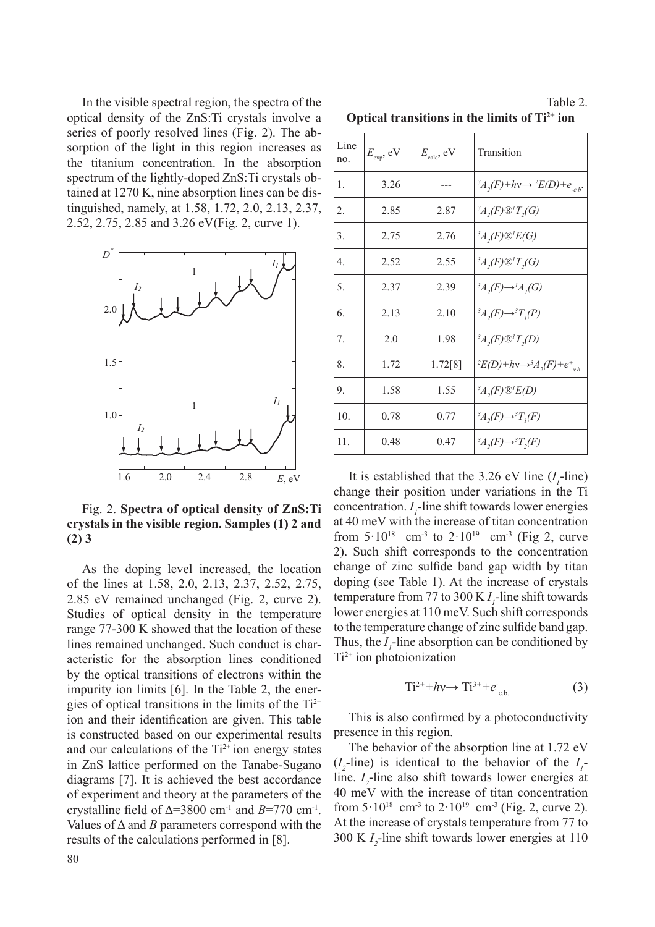In the visible spectral region, the spectra of the optical density of the ZnS:Ti crystals involve a series of poorly resolved lines (Fig. 2). The absorption of the light in this region increases as the titanium concentration. In the absorption spectrum of the lightly-doped ZnS:Ti crystals obtained at 1270 K, nine absorption lines can be distinguished, namely, at 1.58, 1.72, 2.0, 2.13, 2.37, 2.52, 2.75, 2.85 and 3.26 eV(Fig. 2, curve 1).



Fig. 2. **Spectra of optical density of ZnS:Ti** crystals in the visible region. Samples (1) 2 and  $(2)$  3 200.<br>. .

As the doping level increased, the location of the lines at 1.58, 2.0, 2.13, 2.37, 2.52, 2.75, 2.85 eV remained unchanged (Fig. 2, curve 2). Studies of optical density in the temperature range 77-300 K showed that the location of these lines remained unchanged. Such conduct is characteristic for the absorption lines conditioned by the optical transitions of electrons within the impurity ion limits [6]. In the Table 2, the energies of optical transitions in the limits of the Ti<sup>2+</sup> ion and their identification are given. This table is constructed based on our experimental results and our calculations of the Ti<sup>2+</sup> ion energy states in ZnS lattice performed on the Tanabe-Sugano diagrams [7]. It is achieved the best accordance of experiment and theory at the parameters of the crystalline field of  $\Delta = 3800$  cm<sup>-1</sup> and  $B = 770$  cm<sup>-1</sup>. Values of  $\Delta$  and *B* parameters correspond with the results of the calculations performed in [8]. ines at 1.58, 2.0, 2.

|                                                    |  |  | Table 2. |
|----------------------------------------------------|--|--|----------|
| Optical transitions in the limits of $Ti^{2+}$ ion |  |  |          |

| Line<br>no.    | $E_{\text{exp}}$ , eV | $E_{\text{calc}}$ , eV | Transition                                                                   |
|----------------|-----------------------|------------------------|------------------------------------------------------------------------------|
| $\mathbf{1}$ . | 3.26                  |                        | ${}^3A,(F)+hv \rightarrow {}^2E(D)+e_{c,b}.$                                 |
| 2.             | 2.85                  | 2.87                   | $^3A$ , $(F)$ $\mathbb{Q}$ <sup>1</sup> $T$ <sub>,</sub> $(G)$               |
| 3.             | 2.75                  | 2.76                   | $^3A,(F)\mathcal{D}/E(G)$                                                    |
| $\overline{4}$ | 2.52                  | 2.55                   | $^3A$ , $(F)$ $\mathbb{Q}$ <sup>1</sup> $T$ <sub>,</sub> $(G)$               |
| 5.             | 2.37                  | 2.39                   | ${}^3A,(F) \rightarrow {}^1A,(G)$                                            |
| 6.             | 2.13                  | 2.10                   | ${}^3A,(F) \rightarrow {}^3T,(P)$                                            |
| 7.             | 2.0                   | 1.98                   | $^3A,(F)\mathbb{Q}^1T,(D)$                                                   |
| 8.             | 1.72                  | 1.72[8]                | $E(D)$ +hv $\rightarrow$ <sup>3</sup> $A_2(F)$ +e <sup>+</sup> <sub>vb</sub> |
| 9.             | 1.58                  | 1.55                   | $^3A$ , $(F)$ $\mathcal{D}'E(D)$                                             |
| 10.            | 0.78                  | 0.77                   | ${}^3A,(F) \rightarrow {}^3T,(F)$                                            |
| 11.            | 0.48                  | 0.47                   | ${}^3A,(F) \rightarrow {}^3T,(F)$                                            |

It is established that the 3.26 eV line  $(I_1$ -line) change their position under variations in the Ti concentration.  $I_1$ -line shift towards lower energies at 40 meV with the increase of titan concentration from  $5.10^{18}$  cm<sup>-3</sup> to  $2.10^{19}$  cm<sup>-3</sup> (Fig 2, curve 2). Such shift corresponds to the concentration change of zinc sulfide band gap width by titan doping (see Table 1). At the increase of crystals temperature from 77 to 300 K  $I_1$ -line shift towards lower energies at 110 meV. Such shift corresponds to the temperature change of zinc sulfide band gap. Thus, the  $I_1$ -line absorption can be conditioned by  $Ti<sup>2+</sup>$  ion photoionization

$$
Ti^{2+} + h\nu \rightarrow Ti^{3+} + e_{c.b.} \tag{3}
$$

This is also confirmed by a photoconductivity presence in this region.

The behavior of the absorption line at 1.72 eV  $(I_2$ -line) is identical to the behavior of the  $I_1$ line.  $I_2$ -line also shift towards lower energies at 40 meV with the increase of titan concentration from  $5.10^{18}$  cm<sup>-3</sup> to  $2.10^{19}$  cm<sup>-3</sup> (Fig. 2, curve 2). At the increase of crystals temperature from 77 to 300 K *I 2* -line shift towards lower energies at 110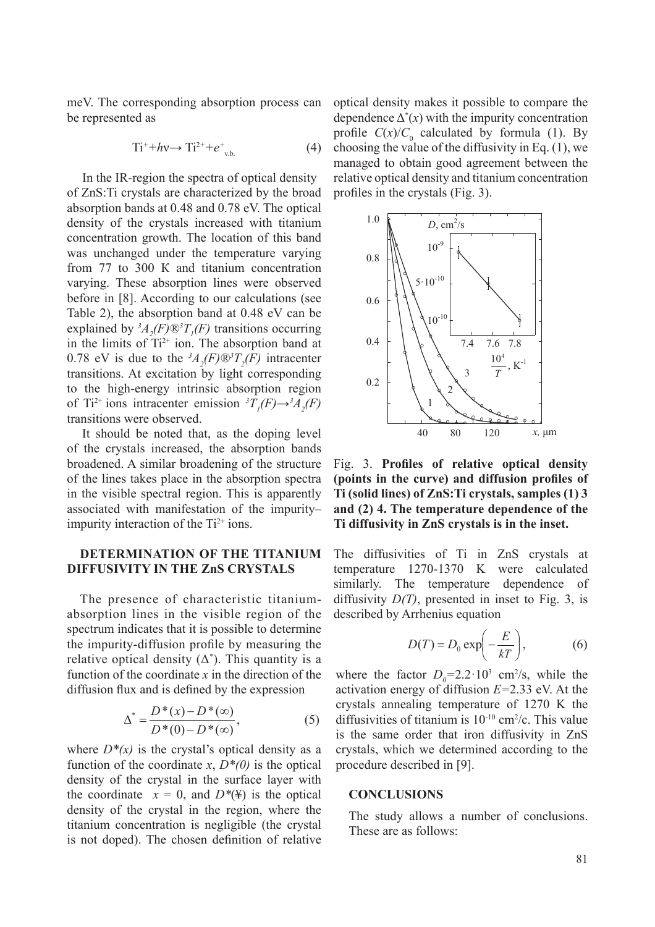meV. The corresponding absorption process can be represented as

$$
Ti^{+} + h\nu \rightarrow Ti^{2+} + e^{+}_{\nu.b.}
$$
 (4)

In the IR-region the spectra of optical density of ZnS:Ti crystals are characterized by the broad absorption bands at 0.48 and 0.78 eV. The optical density of the crystals increased with titanium concentration growth. The location of this band was unchanged under the temperature varying from  $77$  to  $300$  K and titanium concentration varying. These absorption lines were observed  $\frac{1}{2}$  before in [8]. According to our calculations (see Table 2), the absorption band at 0.48 eV can be explained by  ${}^{3}A_{2}(F)$ <sup>®</sup> ${}^{3}T_{1}(F)$  transitions occurring in the limits of  $Ti^{2+}$  ion. The absorption band at 0.78 eV is due to the  ${}^3A_2(F)\mathbb{D}{}^3T_2(F)$  intracenter transitions. At excitation by light corresponding to the high-energy intrinsic absorption region of Ti<sup>2+</sup> ions intracenter emission  ${}^{3}T_{1}(F) \rightarrow {}^{3}A_{2}(F)$ transitions were observed.  $\frac{1}{2}$ , the set region of the calculations (see ac to the  $A_2(P) \otimes I_2(P)$  indication

It should be noted that, as the doping level of the crystals increased, the absorption bands broadened. A similar broadening of the structure of the lines takes place in the absorption spectra in the visible spectral region. This is apparently associated with manifestation of the impurity– impurity interaction of the  $Ti^{2+}$  ions.

# **DETERMINATION OF THE TITANIUM**  DIFFUSIVITY IN THE ZnS CRYSTALS

The presence of characteristic titaniumabsorption lines in the visible region of the spectrum indicates that it is possible to determine the impurity-diffusion profile by measuring the relative optical density  $(\Delta^*)$ . This quantity is a function of the coordinate *x* in the direction of the diffusion flux and is defined by the expression

$$
\Delta^* = \frac{D^*(x) - D^*(\infty)}{D^*(0) - D^*(\infty)},
$$
\n(5)

where  $D^*(x)$  is the crystal's optical density as a function of the coordinate x,  $D^*(0)$  is the optical density of the crystal in the surface layer with the coordinate  $x = 0$ , and  $D^*(\Psi)$  is the optical density of the crystal in the region, where the titanium concentration is negligible (the crystal is not doped). The chosen definition of relative optical density makes it possible to compare the dependence  $\Delta^*(x)$  with the impurity concentration profile  $C(x)/C_0$  calculated by formula (1). By choosing the value of the diffusivity in Eq. (1), we managed to obtain good agreement between the relative optical density and titanium concentration profiles in the crystals (Fig. 3).



Fig. 3. Profiles of relative optical density (points in the curve) and diffusion profiles of Ti (solid lines) of ZnS: Ti crystals, samples (1) 3 and (2) 4. The temperature dependence of the **Ti diffusivity in ZnS crystals is in the inset.** relative optical de

The diffusivities of Ti in ZnS crystals at temperature 1270-1370 K were calculated similarly. The temperature dependence of diffusivity  $D(T)$ , presented in inset to Fig. 3, is described by Arrhenius equation

$$
D(T) = D_0 \exp\left(-\frac{E}{kT}\right),\tag{6}
$$

where the factor  $D_0 = 2.2 \cdot 10^3$  cm<sup>2</sup>/s, while the activation energy of diffusion  $E=2.33$  eV. At the crystals annealing temperature of 1270 K the diffusivities of titanium is  $10^{-10}$  cm<sup>2</sup>/c. This value is the same order that iron diffusivity in ZnS crystals, which we determined according to the procedure described in [9].

#### **CONCLUSIONS**

The study allows a number of conclusions. These are as follows: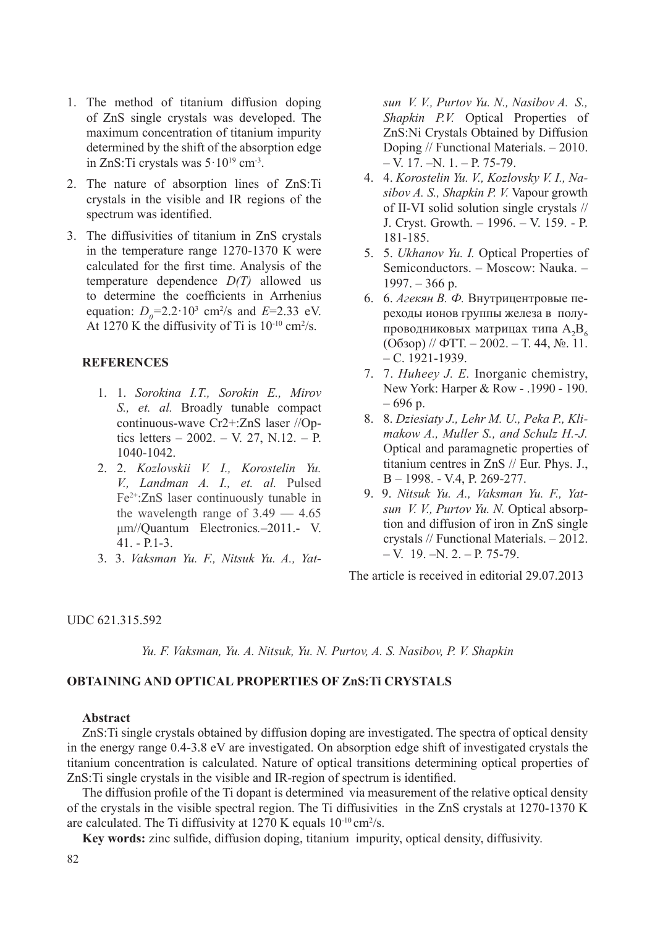- 1. The method of titanium diffusion doping of ZnS single crystals was developed. The maximum concentration of titanium impurity determined by the shift of the absorption edge in ZnS: Ti crystals was  $5 \cdot 10^{19}$  cm<sup>-3</sup>.
- 2. The nature of absorption lines of ZnS:Ti crystals in the visible and IR regions of the spectrum was identified.
- 3. The diffusivities of titanium in ZnS crystals in the temperature range  $1270-1370$  K were calculated for the first time. Analysis of the temperature dependence *D(T)* allowed us to determine the coefficients in Arrhenius equation:  $D_0 = 2.2 \cdot 10^3$  cm<sup>2</sup>/s and  $E = 2.33$  eV. At 1270 K the diffusivity of Ti is  $10^{-10}$  cm<sup>2</sup>/s.

# **REFERENCES**

- 1. 1. *Sorokina I.T., Sorokin E., Mirov S., et. al.* Broadly tunable compact continuous-wave Cr2+:ZnS laser //Optics letters – 2002. – V. 27, N.12. – P. 1040-1042.
- 2. 2. *Kozlovskii V. I., Korostelin Yu. V., Landman A. I., et. al.* Pulsed Fe2+:ZnS laser continuously tunable in the wavelength range of  $3.49 - 4.65$ ȝP//Quantum Electronics*.–*2011.- V. 41. - P.1-3.
- 3. 3. *Vaksman Yu. F., Nitsuk Yu. A., Yat-*

*sun V. V., Purtov Yu. N., Nasibov A. S., Shapkin P.V.* Optical Properties of ZnS:Ni Crystals Obtained by Diffusion Doping // Functional Materials. – 2010.  $-$  V. 17.  $-N.$  1.  $-$  P. 75-79.

- 4. 4. *Korostelin Yu. V., Kozlovsky V. I., Nasibov A. S., Shapkin P. V.* Vapour growth of II-VI solid solution single crystals // J. Cryst. Growth. – 1996. – V. 159. - P. 181-185.
- 5. 5. *Ukhanov Yu. I.* Optical Properties of Semiconductors. – Moscow: Nauka. –  $1997. - 366$  p.
- 6. 6. *Агекян В. Ф.* Внутрицентровые переходы ионов группы железа в полупроводниковых матрицах типа  $A_2B_3$  $(O630p)$  //  $\Phi TT - 2002 - T$ . 44,  $N_2$ . 11.  $- C. 1921 - 1939.$
- 7. 7. *Huheey J. E.* Inorganic chemistry, New York: Harper & Row - .1990 - 190.  $-696$  p.
- 8. 8. *Dziesiaty J., Lehr M. U., Peka P., Klimakow A., Muller S., and Schulz H.-J.* Optical and paramagnetic properties of titanium centres in ZnS // Eur. Phys. J., B – 1998. - V.4, P. 269-277.
- 9. 9. *Nitsuk Yu. A., Vaksman Yu. F., Yatsun V. V., Purtov Yu. N.* Optical absorption and diffusion of iron in ZnS single crystals // Functional Materials. – 2012.  $- V.$  19.  $- N. 2. - P. 75-79.$

The article is received in editorial 29.07.2013

UDC 621.315.592

*Yu. F. Vaksman, Yu. A. Nitsuk, Yu. N. Purtov, A. S. Nasibov, P. V. Shapkin*

# **OBTAINING AND OPTICAL PROPERTIES OF ZnS:Ti CRYSTALS**

### **Abstract**

ZnS:Ti single crystals obtained by diffusion doping are investigated. The spectra of optical density in the energy range 0.4-3.8 eV are investigated. On absorption edge shift of investigated crystals the titanium concentration is calculated. Nature of optical transitions determining optical properties of ZnS: Ti single crystals in the visible and IR-region of spectrum is identified.

The diffusion profile of the Ti dopant is determined via measurement of the relative optical density of the crystals in the visible spectral region. The Ti diffusivities in the ZnS crystals at 1270-1370 K are calculated. The Ti diffusivity at  $1270$  K equals  $10^{-10}$  cm<sup>2</sup>/s.

Key words: zinc sulfide, diffusion doping, titanium impurity, optical density, diffusivity.